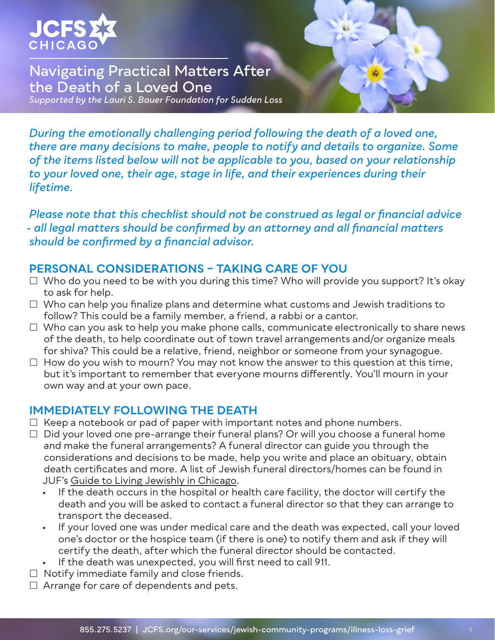

## **Navigating Practical Matters After the Death of a Loved One**  *Supported by the Lauri S. Bauer Foundation for Sudden Loss*

*During the emotionally challenging period following the death of a loved one, there are many decisions to make, people to notify and details to organize. Some of the items listed below will not be applicable to you, based on your relationship to your loved one, their age, stage in life, and their experiences during their lifetime.*

*Please note that this checklist should not be construed as legal or financial advice - all legal matters should be confirmed by an attorney and all financial matters should be confirmed by a financial advisor.*

### **PERSONAL CONSIDERATIONS – TAKING CARE OF YOU**

- $\Box$  Who do you need to be with you during this time? Who will provide you support? It's okay to ask for help.
- $\Box$  Who can help you finalize plans and determine what customs and Jewish traditions to follow? This could be a family member, a friend, a rabbi or a cantor.
- $\Box$  Who can you ask to help you make phone calls, communicate electronically to share news of the death, to help coordinate out of town travel arrangements and/or organize meals for shiva? This could be a relative, friend, neighbor or someone from your synagogue.
- $\Box$  How do you wish to mourn? You may not know the answer to this question at this time, but it's important to remember that everyone mourns differently. You'll mourn in your own way and at your own pace.

### **IMMEDIATELY FOLLOWING THE DEATH**

- $\Box$  Keep a notebook or pad of paper with important notes and phone numbers.
- $\Box$  Did your loved one pre-arrange their funeral plans? Or will you choose a funeral home and make the funeral arrangements? A funeral director can guide you through the considerations and decisions to be made, help you write and place an obituary, obtain death certificates and more. A list of Jewish funeral directors/homes can be found in JUF's [Guide to Living Jewishly in Chicago](https://www.juf.org/guide/category.aspx?id=16108).
	- If the death occurs in the hospital or health care facility, the doctor will certify the death and you will be asked to contact a funeral director so that they can arrange to transport the deceased.
	- If your loved one was under medical care and the death was expected, call your loved one's doctor or the hospice team (if there is one) to notify them and ask if they will certify the death, after which the funeral director should be contacted.
	- If the death was unexpected, you will first need to call 911.
- $\Box$  Notify immediate family and close friends.
- $\Box$  Arrange for care of dependents and pets.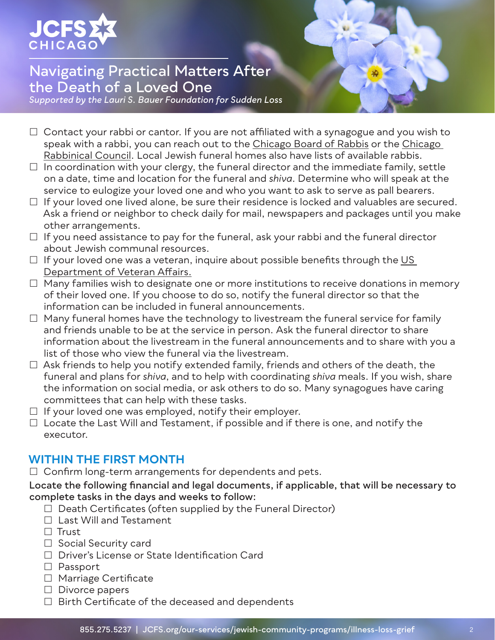

*Supported by the Lauri S. Bauer Foundation for Sudden Loss*

- $\Box$  Contact your rabbi or cantor. If you are not affiliated with a synagogue and you wish to speak with a rabbi, you can reach out to the [Chicago Board of Rabbis](https://www.juf.org/cbr/) or the [Chicago](https://www.juf.org/cbr/)  [Rabbinical Council](https://www.juf.org/cbr/). Local Jewish funeral homes also have lists of available rabbis.
- $\Box$  In coordination with your clergy, the funeral director and the immediate family, settle on a date, time and location for the funeral and *shiva*. Determine who will speak at the service to eulogize your loved one and who you want to ask to serve as pall bearers.
- $\Box$  If your loved one lived alone, be sure their residence is locked and valuables are secured. Ask a friend or neighbor to check daily for mail, newspapers and packages until you make other arrangements.
- $\Box$  If you need assistance to pay for the funeral, ask your rabbi and the funeral director about Jewish communal resources.
- $\Box$  If your loved one was a veteran, inquire about possible benefits through the US [Department of Veteran Affairs](https://www.va.gov/burials-memorials/).
- $\Box$  Many families wish to designate one or more institutions to receive donations in memory of their loved one. If you choose to do so, notify the funeral director so that the information can be included in funeral announcements.
- $\Box$  Many funeral homes have the technology to livestream the funeral service for family and friends unable to be at the service in person. Ask the funeral director to share information about the livestream in the funeral announcements and to share with you a list of those who view the funeral via the livestream.
- $\Box$  Ask friends to help you notify extended family, friends and others of the death, the funeral and plans for *shiva*, and to help with coordinating *shiva* meals. If you wish, share the information on social media, or ask others to do so. Many synagogues have caring committees that can help with these tasks.
- $\Box$  If your loved one was employed, notify their employer.
- $\Box$  Locate the Last Will and Testament, if possible and if there is one, and notify the executor.

## **WITHIN THE FIRST MONTH**

 $\Box$  Confirm long-term arrangements for dependents and pets.

#### **Locate the following financial and legal documents, if applicable, that will be necessary to complete tasks in the days and weeks to follow:**

- $\Box$  Death Certificates (often supplied by the Funeral Director)
- $\Box$  Last Will and Testament
- $\Box$  Trust
- $\Box$  Social Security card
- □ Driver's License or State Identification Card
- □ Passport
- □ Marriage Certificate
- $\Box$  Divorce papers
- $\Box$  Birth Certificate of the deceased and dependents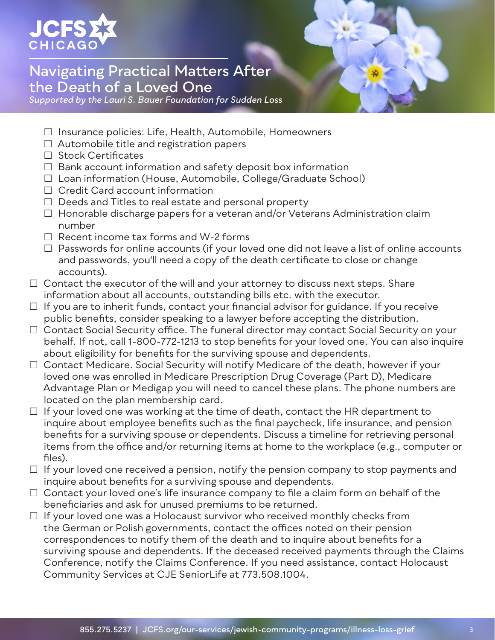

*Supported by the Lauri S. Bauer Foundation for Sudden Loss*

- $\Box$  Insurance policies: Life, Health, Automobile, Homeowners
- $\Box$  Automobile title and registration papers
- $\Box$  Stock Certificates
- $\Box$  Bank account information and safety deposit box information
- □ Loan information (House, Automobile, College/Graduate School)
- $\Box$  Credit Card account information
- $\Box$  Deeds and Titles to real estate and personal property
- □ Honorable discharge papers for a veteran and/or Veterans Administration claim number
- $\Box$  Recent income tax forms and W-2 forms
- $\Box$  Passwords for online accounts (if your loved one did not leave a list of online accounts and passwords, you'll need a copy of the death certificate to close or change accounts).
- $\Box$  Contact the executor of the will and your attorney to discuss next steps. Share information about all accounts, outstanding bills etc. with the executor.
- $\Box$  If you are to inherit funds, contact your financial advisor for guidance. If you receive public benefits, consider speaking to a lawyer before accepting the distribution.
- □ Contact Social Security office. The funeral director may contact Social Security on your behalf. If not, call 1-800-772-1213 to stop benefits for your loved one. You can also inquire about eligibility for benefits for the surviving spouse and dependents.
- $\Box$  Contact Medicare. Social Security will notify Medicare of the death, however if your loved one was enrolled in Medicare Prescription Drug Coverage (Part D), Medicare Advantage Plan or Medigap you will need to cancel these plans. The phone numbers are located on the plan membership card.
- $\Box$  If your loved one was working at the time of death, contact the HR department to inquire about employee benefits such as the final paycheck, life insurance, and pension benefits for a surviving spouse or dependents. Discuss a timeline for retrieving personal items from the office and/or returning items at home to the workplace (e.g., computer or files).
- $\Box$  If your loved one received a pension, notify the pension company to stop payments and inquire about benefits for a surviving spouse and dependents.
- $\Box$  Contact your loved one's life insurance company to file a claim form on behalf of the beneficiaries and ask for unused premiums to be returned.
- $\Box$  If your loved one was a Holocaust survivor who received monthly checks from the German or Polish governments, contact the offices noted on their pension correspondences to notify them of the death and to inquire about benefits for a surviving spouse and dependents. If the deceased received payments through the Claims Conference, notify the Claims Conference. If you need assistance, contact Holocaust Community Services at CJE SeniorLife at 773.508.1004.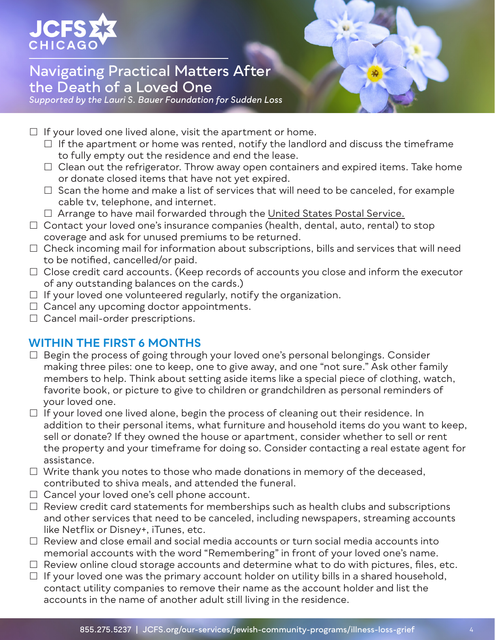

*Supported by the Lauri S. Bauer Foundation for Sudden Loss*

- $\Box$  If your loved one lived alone, visit the apartment or home.
	- $\Box$  If the apartment or home was rented, notify the landlord and discuss the timeframe to fully empty out the residence and end the lease.
	- $\Box$  Clean out the refrigerator. Throw away open containers and expired items. Take home or donate closed items that have not yet expired.
	- $\Box$  Scan the home and make a list of services that will need to be canceled, for example cable tv, telephone, and internet.
	- $\Box$  Arrange to have mail forwarded through the [United States Postal Service.](https://www.usps.com/manage/forward.htm)
- $\Box$  Contact your loved one's insurance companies (health, dental, auto, rental) to stop coverage and ask for unused premiums to be returned.
- $\Box$  Check incoming mail for information about subscriptions, bills and services that will need to be notified, cancelled/or paid.
- $\Box$  Close credit card accounts. (Keep records of accounts you close and inform the executor of any outstanding balances on the cards.)
- $\Box$  If your loved one volunteered regularly, notify the organization.
- $\Box$  Cancel any upcoming doctor appointments.
- $\Box$  Cancel mail-order prescriptions.

## **WITHIN THE FIRST 6 MONTHS**

- $\Box$  Begin the process of going through your loved one's personal belongings. Consider making three piles: one to keep, one to give away, and one "not sure." Ask other family members to help. Think about setting aside items like a special piece of clothing, watch, favorite book, or picture to give to children or grandchildren as personal reminders of your loved one.
- $\Box$  If your loved one lived alone, begin the process of cleaning out their residence. In addition to their personal items, what furniture and household items do you want to keep, sell or donate? If they owned the house or apartment, consider whether to sell or rent the property and your timeframe for doing so. Consider contacting a real estate agent for assistance.
- $\Box$  Write thank you notes to those who made donations in memory of the deceased, contributed to shiva meals, and attended the funeral.
- $\Box$  Cancel your loved one's cell phone account.
- $\Box$  Review credit card statements for memberships such as health clubs and subscriptions and other services that need to be canceled, including newspapers, streaming accounts like Netflix or Disney+, iTunes, etc.
- $\Box$  Review and close email and social media accounts or turn social media accounts into memorial accounts with the word "Remembering" in front of your loved one's name.
- $\Box$  Review online cloud storage accounts and determine what to do with pictures, files, etc.
- $\Box$  If your loved one was the primary account holder on utility bills in a shared household, contact utility companies to remove their name as the account holder and list the accounts in the name of another adult still living in the residence.